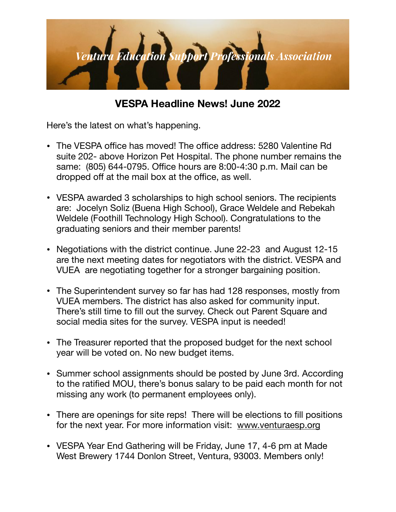

## **VESPA Headline News! June 2022**

Here's the latest on what's happening.

- The VESPA office has moved! The office address: 5280 Valentine Rd suite 202- above Horizon Pet Hospital. The phone number remains the same: (805) 644-0795. Office hours are 8:00-4:30 p.m. Mail can be dropped off at the mail box at the office, as well.
- VESPA awarded 3 scholarships to high school seniors. The recipients are: Jocelyn Soliz (Buena High School), Grace Weldele and Rebekah Weldele (Foothill Technology High School). Congratulations to the graduating seniors and their member parents!
- Negotiations with the district continue. June 22-23 and August 12-15 are the next meeting dates for negotiators with the district. VESPA and VUEA are negotiating together for a stronger bargaining position.
- The Superintendent survey so far has had 128 responses, mostly from VUEA members. The district has also asked for community input. There's still time to fill out the survey. Check out Parent Square and social media sites for the survey. VESPA input is needed!
- The Treasurer reported that the proposed budget for the next school year will be voted on. No new budget items.
- Summer school assignments should be posted by June 3rd. According to the ratified MOU, there's bonus salary to be paid each month for not missing any work (to permanent employees only).
- There are openings for site reps! There will be elections to fill positions for the next year. For more information visit: [www.venturaesp.org](http://www.venturaesp.org)
- VESPA Year End Gathering will be Friday, June 17, 4-6 pm at Made West Brewery 1744 Donlon Street, Ventura, 93003. Members only!